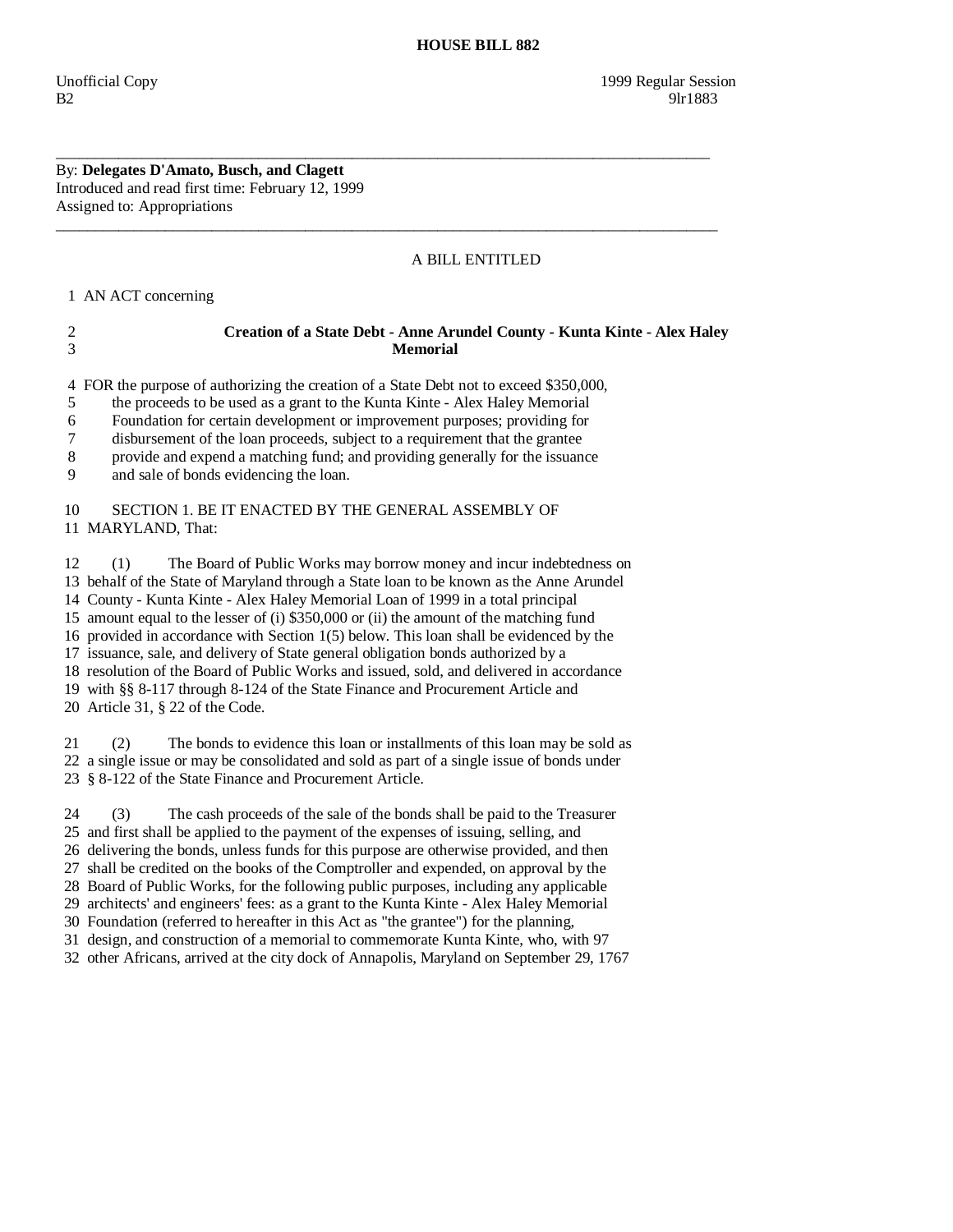### By: **Delegates D'Amato, Busch, and Clagett**  Introduced and read first time: February 12, 1999 Assigned to: Appropriations

# A BILL ENTITLED

1 AN ACT concerning

## 2 **Creation of a State Debt - Anne Arundel County - Kunta Kinte - Alex Haley**  3 **Memorial**

4 FOR the purpose of authorizing the creation of a State Debt not to exceed \$350,000,

\_\_\_\_\_\_\_\_\_\_\_\_\_\_\_\_\_\_\_\_\_\_\_\_\_\_\_\_\_\_\_\_\_\_\_\_\_\_\_\_\_\_\_\_\_\_\_\_\_\_\_\_\_\_\_\_\_\_\_\_\_\_\_\_\_\_\_\_\_\_\_\_\_\_\_\_\_\_\_\_\_\_\_\_

 $\overline{\phantom{a}}$  ,  $\overline{\phantom{a}}$  ,  $\overline{\phantom{a}}$  ,  $\overline{\phantom{a}}$  ,  $\overline{\phantom{a}}$  ,  $\overline{\phantom{a}}$  ,  $\overline{\phantom{a}}$  ,  $\overline{\phantom{a}}$  ,  $\overline{\phantom{a}}$  ,  $\overline{\phantom{a}}$  ,  $\overline{\phantom{a}}$  ,  $\overline{\phantom{a}}$  ,  $\overline{\phantom{a}}$  ,  $\overline{\phantom{a}}$  ,  $\overline{\phantom{a}}$  ,  $\overline{\phantom{a}}$ 

5 the proceeds to be used as a grant to the Kunta Kinte - Alex Haley Memorial

6 Foundation for certain development or improvement purposes; providing for

7 disbursement of the loan proceeds, subject to a requirement that the grantee

8 provide and expend a matching fund; and providing generally for the issuance

9 and sale of bonds evidencing the loan.

## 10 SECTION 1. BE IT ENACTED BY THE GENERAL ASSEMBLY OF 11 MARYLAND, That:

 12 (1) The Board of Public Works may borrow money and incur indebtedness on 13 behalf of the State of Maryland through a State loan to be known as the Anne Arundel 14 County - Kunta Kinte - Alex Haley Memorial Loan of 1999 in a total principal 15 amount equal to the lesser of (i) \$350,000 or (ii) the amount of the matching fund 16 provided in accordance with Section 1(5) below. This loan shall be evidenced by the 17 issuance, sale, and delivery of State general obligation bonds authorized by a 18 resolution of the Board of Public Works and issued, sold, and delivered in accordance 19 with §§ 8-117 through 8-124 of the State Finance and Procurement Article and 20 Article 31, § 22 of the Code.

 21 (2) The bonds to evidence this loan or installments of this loan may be sold as 22 a single issue or may be consolidated and sold as part of a single issue of bonds under 23 § 8-122 of the State Finance and Procurement Article.

 24 (3) The cash proceeds of the sale of the bonds shall be paid to the Treasurer 25 and first shall be applied to the payment of the expenses of issuing, selling, and 26 delivering the bonds, unless funds for this purpose are otherwise provided, and then 27 shall be credited on the books of the Comptroller and expended, on approval by the

 28 Board of Public Works, for the following public purposes, including any applicable 29 architects' and engineers' fees: as a grant to the Kunta Kinte - Alex Haley Memorial

30 Foundation (referred to hereafter in this Act as "the grantee") for the planning,

31 design, and construction of a memorial to commemorate Kunta Kinte, who, with 97

32 other Africans, arrived at the city dock of Annapolis, Maryland on September 29, 1767